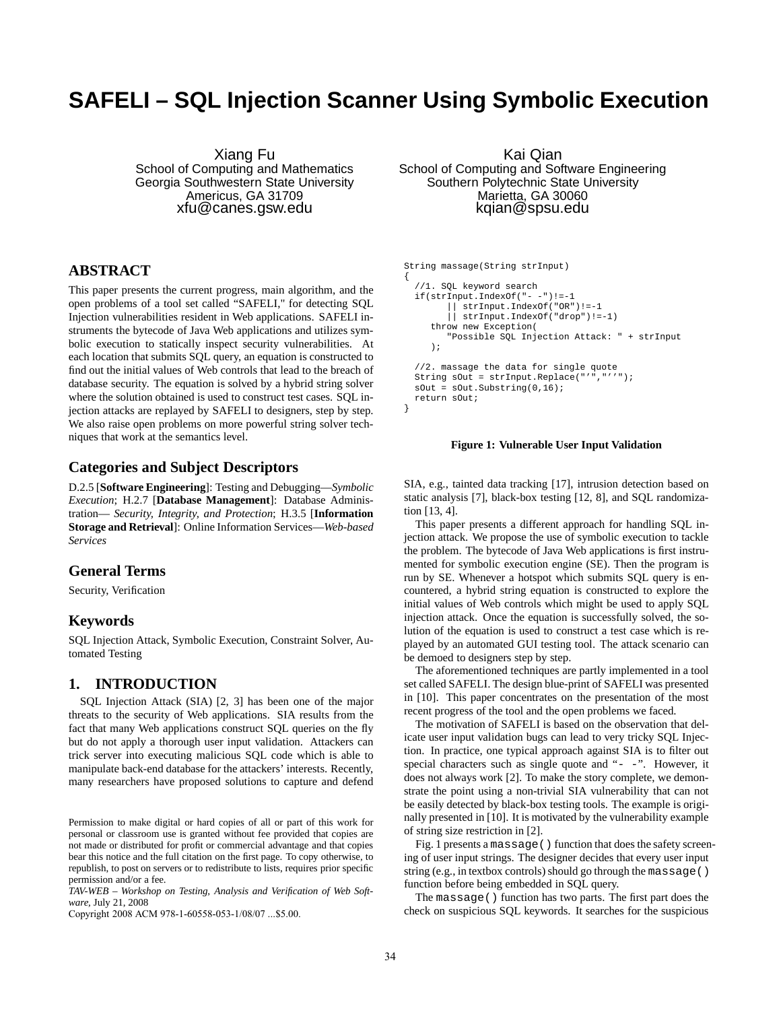# **SAFELI – SQL Injection Scanner Using Symbolic Execution**

Xiang Fu School of Computing and Mathematics Georgia Southwestern State University Americus, GA 31709 xfu@canes.gsw.edu

### **ABSTRACT**

This paper presents the current progress, main algorithm, and the open problems of a tool set called "SAFELI," for detecting SQL Injection vulnerabilities resident in Web applications. SAFELI instruments the bytecode of Java Web applications and utilizes symbolic execution to statically inspect security vulnerabilities. At each location that submits SQL query, an equation is constructed to find out the initial values of Web controls that lead to the breach of database security. The equation is solved by a hybrid string solver where the solution obtained is used to construct test cases. SQL injection attacks are replayed by SAFELI to designers, step by step. We also raise open problems on more powerful string solver techniques that work at the semantics level.

# **Categories and Subject Descriptors**

D.2.5 [**Software Engineering**]: Testing and Debugging—*Symbolic Execution*; H.2.7 [**Database Management**]: Database Administration— *Security, Integrity, and Protection*; H.3.5 [**Information Storage and Retrieval**]: Online Information Services—*Web-based Services*

### **General Terms**

Security, Verification

### **Keywords**

SQL Injection Attack, Symbolic Execution, Constraint Solver, Automated Testing

# **1. INTRODUCTION**

SQL Injection Attack (SIA) [2, 3] has been one of the major threats to the security of Web applications. SIA results from the fact that many Web applications construct SQL queries on the fly but do not apply a thorough user input validation. Attackers can trick server into executing malicious SQL code which is able to manipulate back-end database for the attackers' interests. Recently, many researchers have proposed solutions to capture and defend

*TAV-WEB – Workshop on Testing, Analysis and Verification of Web Software,* July 21, 2008

Copyright 2008 ACM 978-1-60558-053-1/08/07 ...\$5.00.

Kai Qian School of Computing and Software Engineering Southern Polytechnic State University Marietta, GA 30060 kqian@spsu.edu

```
String massage(String strInput)
{
  //1. SQL keyword search
  if(strInput.IndexOf("- -")!=-1
        || strInput.IndexOf("OR")!=-1
        || strInput.IndexOf("drop")!=-1)
    throw new Exception(
        "Possible SQL Injection Attack: " + strInput
     );
  //2. massage the data for single quote
 String sOut = strInput.Replace("'","''");
 sOut = sOut.Substring(0,16);return sOut;
}
```
#### **Figure 1: Vulnerable User Input Validation**

SIA, e.g., tainted data tracking [17], intrusion detection based on static analysis [7], black-box testing [12, 8], and SQL randomization [13, 4].

This paper presents a different approach for handling SQL injection attack. We propose the use of symbolic execution to tackle the problem. The bytecode of Java Web applications is first instrumented for symbolic execution engine (SE). Then the program is run by SE. Whenever a hotspot which submits SQL query is encountered, a hybrid string equation is constructed to explore the initial values of Web controls which might be used to apply SQL injection attack. Once the equation is successfully solved, the solution of the equation is used to construct a test case which is replayed by an automated GUI testing tool. The attack scenario can be demoed to designers step by step.

The aforementioned techniques are partly implemented in a tool set called SAFELI. The design blue-print of SAFELI was presented in [10]. This paper concentrates on the presentation of the most recent progress of the tool and the open problems we faced.

The motivation of SAFELI is based on the observation that delicate user input validation bugs can lead to very tricky SQL Injection. In practice, one typical approach against SIA is to filter out special characters such as single quote and "- -". However, it does not always work [2]. To make the story complete, we demonstrate the point using a non-trivial SIA vulnerability that can not be easily detected by black-box testing tools. The example is originally presented in [10]. It is motivated by the vulnerability example of string size restriction in [2].

Fig. 1 presents a massage() function that does the safety screening of user input strings. The designer decides that every user input string (e.g., in textbox controls) should go through the massage() function before being embedded in SQL query.

The massage() function has two parts. The first part does the check on suspicious SQL keywords. It searches for the suspicious

Permission to make digital or hard copies of all or part of this work for personal or classroom use is granted without fee provided that copies are not made or distributed for profit or commercial advantage and that copies bear this notice and the full citation on the first page. To copy otherwise, to republish, to post on servers or to redistribute to lists, requires prior specific permission and/or a fee.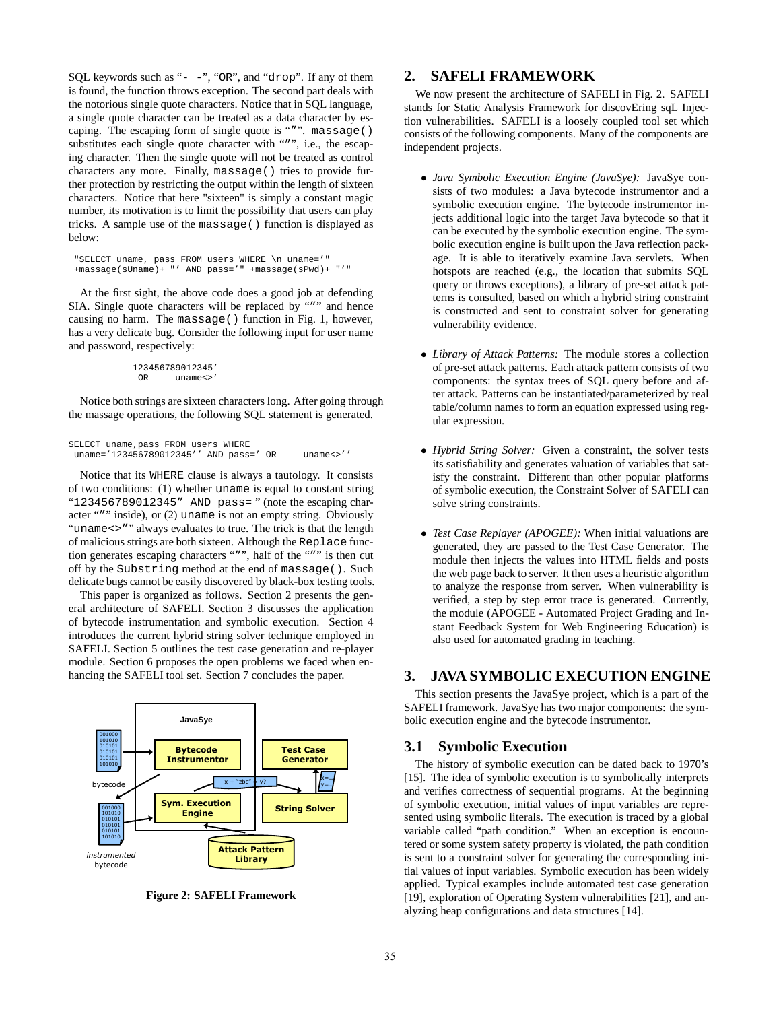SQL keywords such as " $-$  -", "OR", and "drop". If any of them is found, the function throws exception. The second part deals with the notorious single quote characters. Notice that in SQL language, a single quote character can be treated as a data character by escaping. The escaping form of single quote is """. massage() substitutes each single quote character with """, i.e., the escaping character. Then the single quote will not be treated as control characters any more. Finally, massage() tries to provide further protection by restricting the output within the length of sixteen characters. Notice that here "sixteen" is simply a constant magic number, its motivation is to limit the possibility that users can play tricks. A sample use of the massage() function is displayed as below:

```
"SELECT uname, pass FROM users WHERE \n uname='"
+massage(sUname)+ "' AND pass='" +massage(sPwd)+ "'"
```
At the first sight, the above code does a good job at defending SIA. Single quote characters will be replaced by """ and hence causing no harm. The massage() function in Fig. 1, however, has a very delicate bug. Consider the following input for user name and password, respectively:

```
123456789012345'
        uname<>
```
Notice both strings are sixteen characters long. After going through the massage operations, the following SQL statement is generated.

```
SELECT uname,pass FROM users WHERE
uname='123456789012345'' AND pass=' OR uname<>''
```
Notice that its WHERE clause is always a tautology. It consists of two conditions: (1) whether uname is equal to constant string " $123456789012345$ " AND pass=" (note the escaping character """ inside), or (2) uname is not an empty string. Obviously "uname<>"" always evaluates to true. The trick is that the length of malicious strings are both sixteen. Although the Replace function generates escaping characters """, half of the """ is then cut off by the Substring method at the end of massage(). Such delicate bugs cannot be easily discovered by black-box testing tools.

This paper is organized as follows. Section 2 presents the general architecture of SAFELI. Section 3 discusses the application of bytecode instrumentation and symbolic execution. Section 4 introduces the current hybrid string solver technique employed in SAFELI. Section 5 outlines the test case generation and re-player module. Section 6 proposes the open problems we faced when enhancing the SAFELI tool set. Section 7 concludes the paper.



**Figure 2: SAFELI Framework**

# **2. SAFELI FRAMEWORK**

We now present the architecture of SAFELI in Fig. 2. SAFELI stands for Static Analysis Framework for discovEring sqL Injection vulnerabilities. SAFELI is a loosely coupled tool set which consists of the following components. Many of the components are independent projects.

- *Java Symbolic Execution Engine (JavaSye):* JavaSye consists of two modules: a Java bytecode instrumentor and a symbolic execution engine. The bytecode instrumentor injects additional logic into the target Java bytecode so that it can be executed by the symbolic execution engine. The symbolic execution engine is built upon the Java reflection package. It is able to iteratively examine Java servlets. When hotspots are reached (e.g., the location that submits SQL query or throws exceptions), a library of pre-set attack patterns is consulted, based on which a hybrid string constraint is constructed and sent to constraint solver for generating vulnerability evidence.
- *Library of Attack Patterns:* The module stores a collection of pre-set attack patterns. Each attack pattern consists of two components: the syntax trees of SQL query before and after attack. Patterns can be instantiated/parameterized by real table/column names to form an equation expressed using regular expression.
- *Hybrid String Solver:* Given a constraint, the solver tests its satisfiability and generates valuation of variables that satisfy the constraint. Different than other popular platforms of symbolic execution, the Constraint Solver of SAFELI can solve string constraints.
- *Test Case Replayer (APOGEE):* When initial valuations are generated, they are passed to the Test Case Generator. The module then injects the values into HTML fields and posts the web page back to server. It then uses a heuristic algorithm to analyze the response from server. When vulnerability is verified, a step by step error trace is generated. Currently, the module (APOGEE - Automated Project Grading and Instant Feedback System for Web Engineering Education) is also used for automated grading in teaching.

# **3. JAVA SYMBOLIC EXECUTION ENGINE**

This section presents the JavaSye project, which is a part of the SAFELI framework. JavaSye has two major components: the symbolic execution engine and the bytecode instrumentor.

# **3.1 Symbolic Execution**

The history of symbolic execution can be dated back to 1970's [15]. The idea of symbolic execution is to symbolically interprets and verifies correctness of sequential programs. At the beginning of symbolic execution, initial values of input variables are represented using symbolic literals. The execution is traced by a global variable called "path condition." When an exception is encountered or some system safety property is violated, the path condition is sent to a constraint solver for generating the corresponding initial values of input variables. Symbolic execution has been widely applied. Typical examples include automated test case generation [19], exploration of Operating System vulnerabilities [21], and analyzing heap configurations and data structures [14].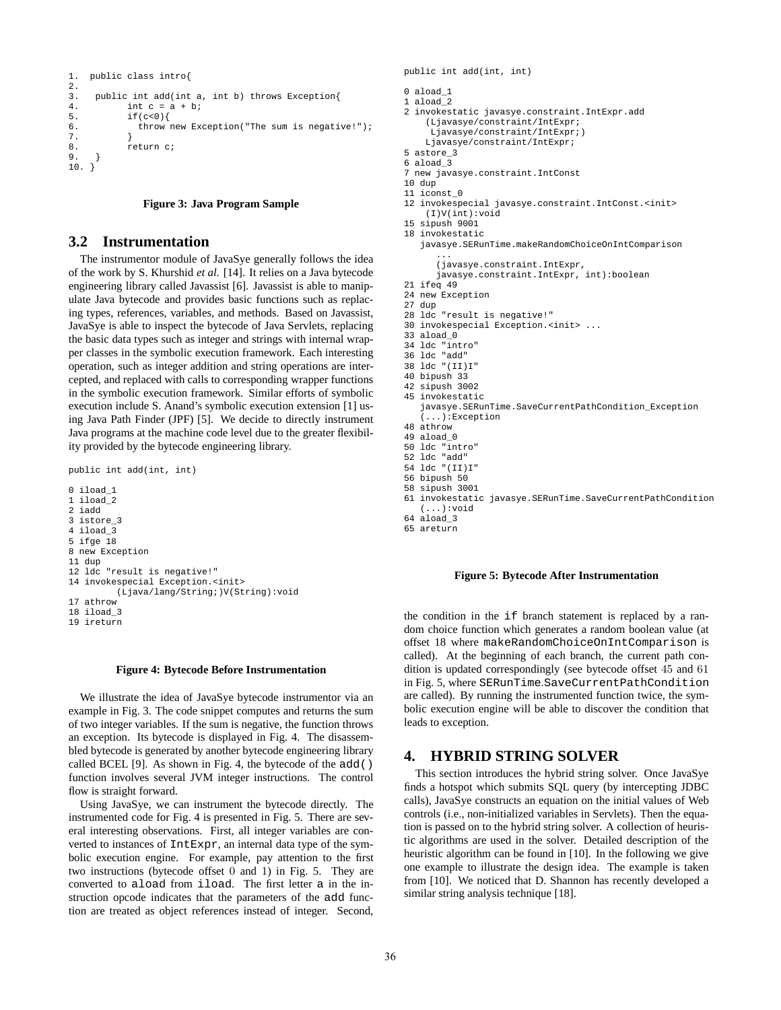```
1. public class intro{
\frac{2}{3}.
     public int add(int a, int b) throws Exception{
4. int c = a + b;<br>5. if(c < 0){
           if(c<0){
6. throw new Exception("The sum is negative!");<br>7.
7. }
8. return c;
9. }
10. }
```
#### **Figure 3: Java Program Sample**

### **3.2 Instrumentation**

The instrumentor module of JavaSye generally follows the idea of the work by S. Khurshid *et al.* [14]. It relies on a Java bytecode engineering library called Javassist [6]. Javassist is able to manipulate Java bytecode and provides basic functions such as replacing types, references, variables, and methods. Based on Javassist, JavaSye is able to inspect the bytecode of Java Servlets, replacing the basic data types such as integer and strings with internal wrapper classes in the symbolic execution framework. Each interesting operation, such as integer addition and string operations are intercepted, and replaced with calls to corresponding wrapper functions in the symbolic execution framework. Similar efforts of symbolic execution include S. Anand's symbolic execution extension [1] using Java Path Finder (JPF) [5]. We decide to directly instrument Java programs at the machine code level due to the greater flexibility provided by the bytecode engineering library.

public int add(int, int)

0 iload\_1 1 iload\_2 2 iadd 3 istore\_3 4 iload\_3 5 ifge 18 8 new Exception 11 dup 12 ldc "result is negative!" 14 invokespecial Exception.<init> (Ljava/lang/String;)V(String):void 17 athrow 18 iload\_3 19 ireturn

#### **Figure 4: Bytecode Before Instrumentation**

We illustrate the idea of JavaSye bytecode instrumentor via an example in Fig. 3. The code snippet computes and returns the sum of two integer variables. If the sum is negative, the function throws an exception. Its bytecode is displayed in Fig. 4. The disassembled bytecode is generated by another bytecode engineering library called BCEL [9]. As shown in Fig. 4, the bytecode of the add() function involves several JVM integer instructions. The control flow is straight forward.

Using JavaSye, we can instrument the bytecode directly. The instrumented code for Fig. 4 is presented in Fig. 5. There are several interesting observations. First, all integer variables are converted to instances of IntExpr, an internal data type of the symbolic execution engine. For example, pay attention to the first two instructions (bytecode offset 0 and 1) in Fig. 5. They are converted to aload from iload. The first letter a in the instruction opcode indicates that the parameters of the add function are treated as object references instead of integer. Second,

public int add(int, int)

```
0 aload_1
```

```
1 aload_2
```
- 2 invokestatic javasye.constraint.IntExpr.add (Ljavasye/constraint/IntExpr; Ljavasye/constraint/IntExpr;) Ljavasye/constraint/IntExpr;
- 5 astore\_3
- 6 aload\_3
- 7 new javasye.constraint.IntConst
- 10 dup
- 11 iconst\_0
- 12 invokespecial javasye.constraint.IntConst.<init>
- (I)V(int):void
- 15 sipush 9001
- 18 invokestatic javasye.SERunTime.makeRandomChoiceOnIntComparison
	- ...
		- (javasye.constraint.IntExpr,

```
javasye.constraint.IntExpr, int):boolean
```

```
21 ifeq 49
```
- 24 new Exception
- 27 dup
- 28 ldc "result is negative!"
- 30 invokespecial Exception.<init> ...
- 33 aload\_0
- 34 ldc "intro" 36 ldc "add"
- 38 ldc "(II)I"
- 40 bipush 33
- 42 sipush 3002
- 45 invokestatic
- javasye.SERunTime.SaveCurrentPathCondition\_Exception (...):Exception
- 48 athrow
- 49 aload\_0 50 ldc "intro"
- 52 ldc "add"
- 54 ldc "(II)I"
- 56 bipush 50
- 58 sipush 3001
- 61 invokestatic javasye.SERunTime.SaveCurrentPathCondition (...):void
- 64 aload\_3
- 65 areturn

#### **Figure 5: Bytecode After Instrumentation**

the condition in the if branch statement is replaced by a random choice function which generates a random boolean value (at offset 18 where makeRandomChoiceOnIntComparison is called). At the beginning of each branch, the current path condition is updated correspondingly (see bytecode offset 45 and 61 in Fig. 5, where SERunTime.SaveCurrentPathCondition are called). By running the instrumented function twice, the symbolic execution engine will be able to discover the condition that leads to exception.

# **4. HYBRID STRING SOLVER**

This section introduces the hybrid string solver. Once JavaSye finds a hotspot which submits SQL query (by intercepting JDBC calls), JavaSye constructs an equation on the initial values of Web controls (i.e., non-initialized variables in Servlets). Then the equation is passed on to the hybrid string solver. A collection of heuristic algorithms are used in the solver. Detailed description of the heuristic algorithm can be found in [10]. In the following we give one example to illustrate the design idea. The example is taken from [10]. We noticed that D. Shannon has recently developed a similar string analysis technique [18].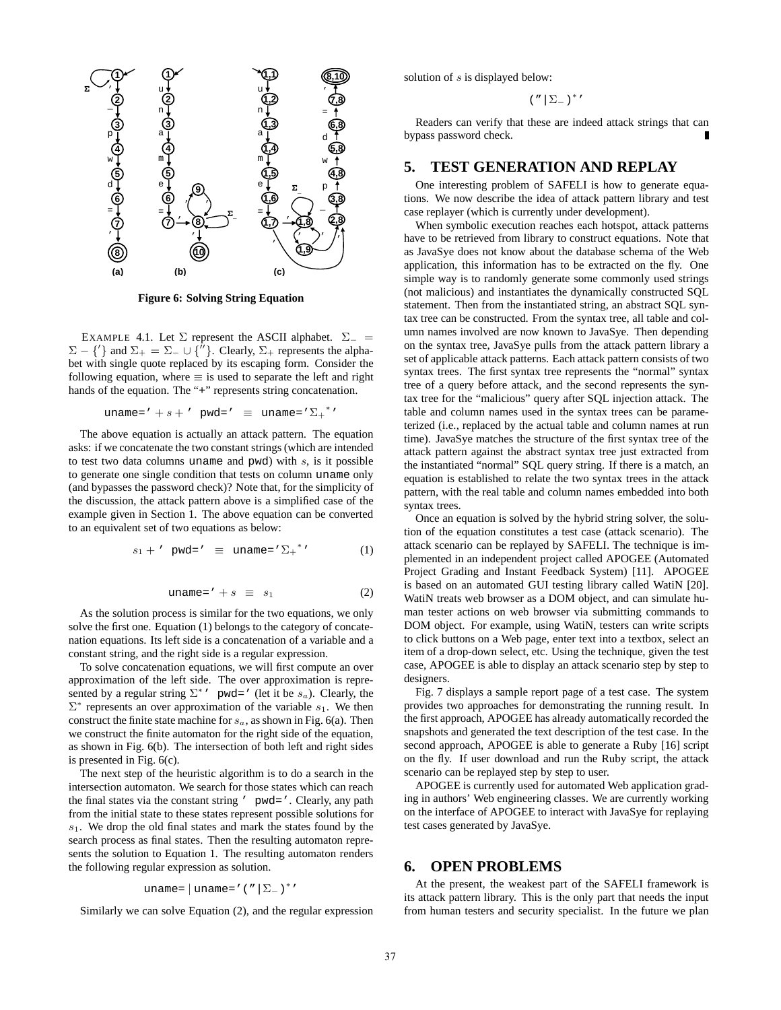

**Figure 6: Solving String Equation**

EXAMPLE 4.1. Let  $\Sigma$  represent the ASCII alphabet.  $\Sigma_-$  =  $\Sigma - \{^{\prime}\}\$ and  $\Sigma_{+} = \Sigma_{-} \cup \{^{^{\prime\prime}}\}\$ . Clearly,  $\Sigma_{+}$  represents the alphabet with single quote replaced by its escaping form. Consider the following equation, where  $\equiv$  is used to separate the left and right hands of the equation. The "+" represents string concatenation.

$$
\text{uname='} + s + ' \text{ pwd=' } \equiv \text{ uname='} \Sigma_+^*'
$$

The above equation is actually an attack pattern. The equation asks: if we concatenate the two constant strings (which are intended to test two data columns uname and pwd) with  $s$ , is it possible to generate one single condition that tests on column uname only (and bypasses the password check)? Note that, for the simplicity of the discussion, the attack pattern above is a simplified case of the example given in Section 1. The above equation can be converted to an equivalent set of two equations as below:

$$
s_1 + ' \text{ pwd} = ' \equiv \text{uname} = ' \Sigma_+^{*'} \tag{1}
$$

$$
\text{uname} = ' + s \equiv s_1 \tag{2}
$$

As the solution process is similar for the two equations, we only solve the first one. Equation (1) belongs to the category of concatenation equations. Its left side is a concatenation of a variable and a constant string, and the right side is a regular expression.

To solve concatenation equations, we will first compute an over approximation of the left side. The over approximation is represented by a regular string  $\Sigma^*$  ' pwd=' (let it be  $s_a$ ). Clearly, the  $\Sigma^*$  represents an over approximation of the variable  $s_1$ . We then construct the finite state machine for  $s_a$ , as shown in Fig. 6(a). Then we construct the finite automaton for the right side of the equation, as shown in Fig. 6(b). The intersection of both left and right sides is presented in Fig. 6(c).

The next step of the heuristic algorithm is to do a search in the intersection automaton. We search for those states which can reach the final states via the constant string ' pwd='. Clearly, any path from the initial state to these states represent possible solutions for  $s<sub>1</sub>$ . We drop the old final states and mark the states found by the search process as final states. Then the resulting automaton represents the solution to Equation 1. The resulting automaton renders the following regular expression as solution.

$$
uname = | uname = ' (" | \Sigma_+)^*
$$
'

Similarly we can solve Equation (2), and the regular expression

solution of s is displayed below:

$$
\left(\begin{array}{c|c} n & \sum_{i=1}^n x_i \end{array}\right)^* \prime
$$

Readers can verify that these are indeed attack strings that can bypass password check.

# **5. TEST GENERATION AND REPLAY**

One interesting problem of SAFELI is how to generate equations. We now describe the idea of attack pattern library and test case replayer (which is currently under development).

When symbolic execution reaches each hotspot, attack patterns have to be retrieved from library to construct equations. Note that as JavaSye does not know about the database schema of the Web application, this information has to be extracted on the fly. One simple way is to randomly generate some commonly used strings (not malicious) and instantiates the dynamically constructed SQL statement. Then from the instantiated string, an abstract SQL syntax tree can be constructed. From the syntax tree, all table and column names involved are now known to JavaSye. Then depending on the syntax tree, JavaSye pulls from the attack pattern library a set of applicable attack patterns. Each attack pattern consists of two syntax trees. The first syntax tree represents the "normal" syntax tree of a query before attack, and the second represents the syntax tree for the "malicious" query after SQL injection attack. The table and column names used in the syntax trees can be parameterized (i.e., replaced by the actual table and column names at run time). JavaSye matches the structure of the first syntax tree of the attack pattern against the abstract syntax tree just extracted from the instantiated "normal" SQL query string. If there is a match, an equation is established to relate the two syntax trees in the attack pattern, with the real table and column names embedded into both syntax trees.

Once an equation is solved by the hybrid string solver, the solution of the equation constitutes a test case (attack scenario). The attack scenario can be replayed by SAFELI. The technique is implemented in an independent project called APOGEE (Automated Project Grading and Instant Feedback System) [11]. APOGEE is based on an automated GUI testing library called WatiN [20]. WatiN treats web browser as a DOM object, and can simulate human tester actions on web browser via submitting commands to DOM object. For example, using WatiN, testers can write scripts to click buttons on a Web page, enter text into a textbox, select an item of a drop-down select, etc. Using the technique, given the test case, APOGEE is able to display an attack scenario step by step to designers.

Fig. 7 displays a sample report page of a test case. The system provides two approaches for demonstrating the running result. In the first approach, APOGEE has already automatically recorded the snapshots and generated the text description of the test case. In the second approach, APOGEE is able to generate a Ruby [16] script on the fly. If user download and run the Ruby script, the attack scenario can be replayed step by step to user.

APOGEE is currently used for automated Web application grading in authors' Web engineering classes. We are currently working on the interface of APOGEE to interact with JavaSye for replaying test cases generated by JavaSye.

### **6. OPEN PROBLEMS**

At the present, the weakest part of the SAFELI framework is its attack pattern library. This is the only part that needs the input from human testers and security specialist. In the future we plan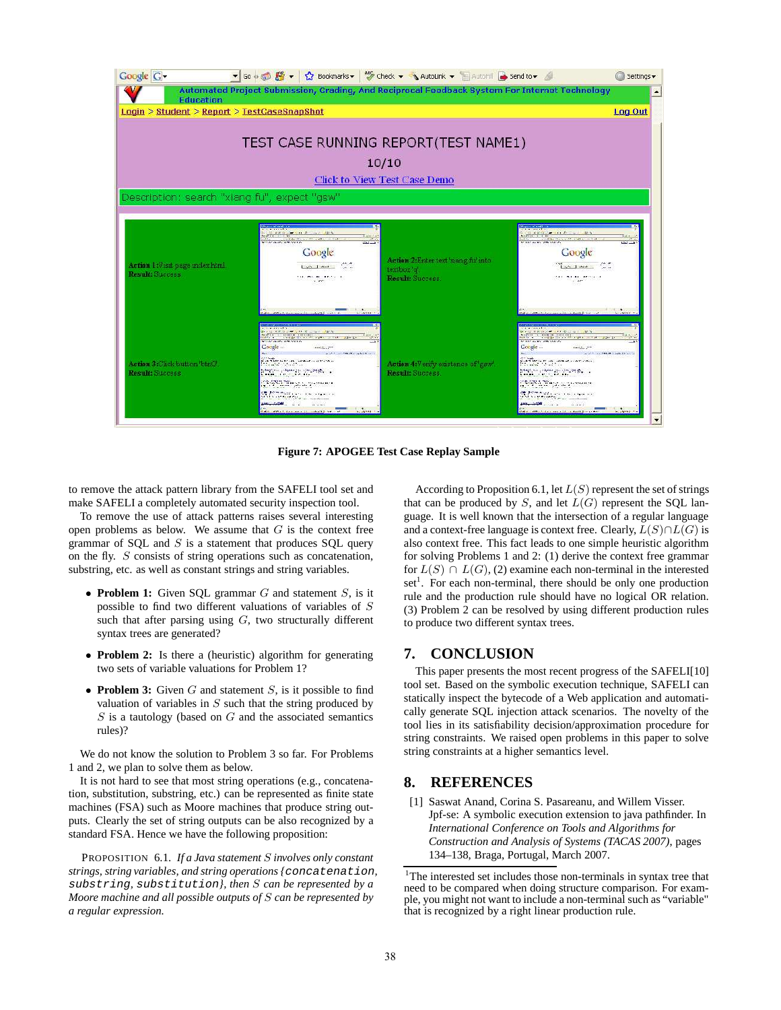

**Figure 7: APOGEE Test Case Replay Sample**

to remove the attack pattern library from the SAFELI tool set and make SAFELI a completely automated security inspection tool.

To remove the use of attack patterns raises several interesting open problems as below. We assume that  $G$  is the context free grammar of SQL and  $S$  is a statement that produces SQL query on the fly. S consists of string operations such as concatenation, substring, etc. as well as constant strings and string variables.

- **Problem 1:** Given SQL grammar G and statement S, is it possible to find two different valuations of variables of S such that after parsing using  $G$ , two structurally different syntax trees are generated?
- **Problem 2:** Is there a (heuristic) algorithm for generating two sets of variable valuations for Problem 1?
- **Problem 3:** Given G and statement S, is it possible to find valuation of variables in  $S$  such that the string produced by  $S$  is a tautology (based on  $G$  and the associated semantics rules)?

We do not know the solution to Problem 3 so far. For Problems 1 and 2, we plan to solve them as below.

It is not hard to see that most string operations (e.g., concatenation, substitution, substring, etc.) can be represented as finite state machines (FSA) such as Moore machines that produce string outputs. Clearly the set of string outputs can be also recognized by a standard FSA. Hence we have the following proposition:

PROPOSITION 6.1. *If a Java statement* S *involves only constant strings, string variables, and string operations {*concatenation*,* substring*,* substitution*}, then* S *can be represented by a Moore machine and all possible outputs of* S *can be represented by a regular expression.*

According to Proposition 6.1, let  $L(S)$  represent the set of strings that can be produced by  $S$ , and let  $L(G)$  represent the SQL language. It is well known that the intersection of a regular language and a context-free language is context free. Clearly,  $L(S) \cap L(G)$  is also context free. This fact leads to one simple heuristic algorithm for solving Problems 1 and 2: (1) derive the context free grammar for  $L(S) \cap L(G)$ , (2) examine each non-terminal in the interested set<sup>1</sup>. For each non-terminal, there should be only one production rule and the production rule should have no logical OR relation. (3) Problem 2 can be resolved by using different production rules to produce two different syntax trees.

# **7. CONCLUSION**

This paper presents the most recent progress of the SAFELI[10] tool set. Based on the symbolic execution technique, SAFELI can statically inspect the bytecode of a Web application and automatically generate SQL injection attack scenarios. The novelty of the tool lies in its satisfiability decision/approximation procedure for string constraints. We raised open problems in this paper to solve string constraints at a higher semantics level.

# **8. REFERENCES**

[1] Saswat Anand, Corina S. Pasareanu, and Willem Visser. Jpf-se: A symbolic execution extension to java pathfinder. In *International Conference on Tools and Algorithms for Construction and Analysis of Systems (TACAS 2007)*, pages 134–138, Braga, Portugal, March 2007.

<sup>&</sup>lt;sup>1</sup>The interested set includes those non-terminals in syntax tree that need to be compared when doing structure comparison. For example, you might not want to include a non-terminal such as "variable" that is recognized by a right linear production rule.